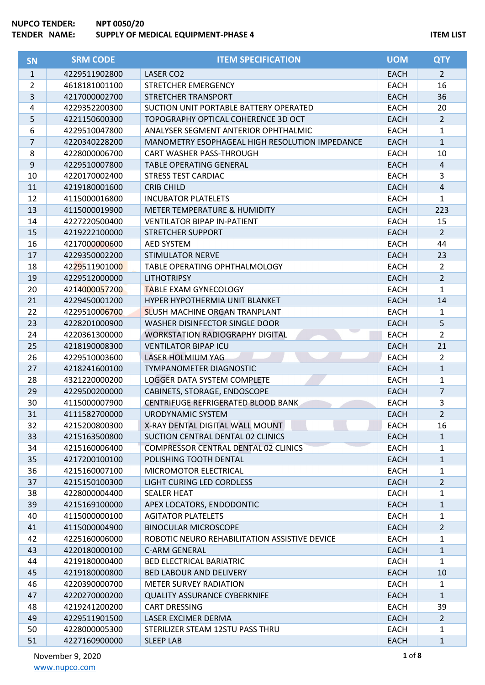| <b>SN</b>      | <b>SRM CODE</b> | <b>ITEM SPECIFICATION</b>                      | <b>UOM</b>  | <b>QTY</b>     |
|----------------|-----------------|------------------------------------------------|-------------|----------------|
| $\mathbf{1}$   | 4229511902800   | LASER CO2                                      | <b>EACH</b> | $\overline{2}$ |
| $\overline{2}$ | 4618181001100   | STRETCHER EMERGENCY                            | <b>EACH</b> | 16             |
| 3              | 4217000002700   | STRETCHER TRANSPORT                            | <b>EACH</b> | 36             |
| 4              | 4229352200300   | SUCTION UNIT PORTABLE BATTERY OPERATED         | <b>EACH</b> | 20             |
| 5              | 4221150600300   | TOPOGRAPHY OPTICAL COHERENCE 3D OCT            | <b>EACH</b> | $\overline{2}$ |
| 6              | 4229510047800   | ANALYSER SEGMENT ANTERIOR OPHTHALMIC           | <b>EACH</b> | 1              |
| $\overline{7}$ | 4220340228200   | MANOMETRY ESOPHAGEAL HIGH RESOLUTION IMPEDANCE | <b>EACH</b> | $\mathbf{1}$   |
| 8              | 4228000006700   | CART WASHER PASS-THROUGH                       | <b>EACH</b> | 10             |
| 9              | 4229510007800   | <b>TABLE OPERATING GENERAL</b>                 | <b>EACH</b> | $\overline{a}$ |
| 10             | 4220170002400   | <b>STRESS TEST CARDIAC</b>                     | <b>EACH</b> | 3              |
| 11             | 4219180001600   | <b>CRIB CHILD</b>                              | <b>EACH</b> | $\sqrt{4}$     |
| 12             | 4115000016800   | <b>INCUBATOR PLATELETS</b>                     | <b>EACH</b> | 1              |
| 13             | 4115000019900   | METER TEMPERATURE & HUMIDITY                   | <b>EACH</b> | 223            |
| 14             | 4227220500400   | <b>VENTILATOR BIPAP IN-PATIENT</b>             | <b>EACH</b> | 15             |
| 15             | 4219222100000   | <b>STRETCHER SUPPORT</b>                       | <b>EACH</b> | $\overline{2}$ |
| 16             | 4217000000600   | <b>AED SYSTEM</b>                              | <b>EACH</b> | 44             |
| 17             | 4229350002200   | <b>STIMULATOR NERVE</b>                        | <b>EACH</b> | 23             |
| 18             | 4229511901000   | TABLE OPERATING OPHTHALMOLOGY                  | <b>EACH</b> | 2              |
| 19             | 4229512000000   | <b>LITHOTRIPSY</b>                             | <b>EACH</b> | $\overline{2}$ |
| 20             | 4214000057200   | <b>TABLE EXAM GYNECOLOGY</b>                   | EACH        | 1              |
| 21             | 4229450001200   | HYPER HYPOTHERMIA UNIT BLANKET                 | <b>EACH</b> | 14             |
| 22             | 4229510006700   | <b>SLUSH MACHINE ORGAN TRANPLANT</b>           | <b>EACH</b> | $\mathbf{1}$   |
| 23             | 4228201000900   | WASHER DISINFECTOR SINGLE DOOR                 | <b>EACH</b> | 5              |
| 24             | 4220361300000   | <b>WORKSTATION RADIOGRAPHY DIGITAL</b>         | <b>EACH</b> | $\overline{2}$ |
| 25             | 4218190008300   | <b>VENTILATOR BIPAP ICU</b>                    | <b>EACH</b> | 21             |
| 26             | 4229510003600   | LASER HOLMIUM YAG                              | <b>EACH</b> | $\overline{2}$ |
| 27             | 4218241600100   | <b>TYMPANOMETER DIAGNOSTIC</b>                 | <b>EACH</b> | $\mathbf{1}$   |
| 28             | 4321220000200   | LOGGER DATA SYSTEM COMPLETE                    | <b>EACH</b> | 1              |
| 29             | 4229500200000   | CABINETS, STORAGE, ENDOSCOPE                   | <b>EACH</b> | $\overline{7}$ |
| 30             | 4115000007900   | CENTRIFUGE REFRIGERATED BLOOD BANK             | <b>EACH</b> | 3              |
| 31             | 4111582700000   | <b>URODYNAMIC SYSTEM</b>                       | <b>EACH</b> | $\overline{2}$ |
| 32             | 4215200800300   | X-RAY DENTAL DIGITAL WALL MOUNT                | EACH        | 16             |
| 33             | 4215163500800   | SUCTION CENTRAL DENTAL 02 CLINICS              | <b>EACH</b> | $\mathbf{1}$   |
| 34             | 4215160006400   | COMPRESSOR CENTRAL DENTAL 02 CLINICS           | <b>EACH</b> | 1              |
| 35             | 4217200100100   | POLISHING TOOTH DENTAL                         | <b>EACH</b> | $\mathbf{1}$   |
| 36             | 4215160007100   | MICROMOTOR ELECTRICAL                          | <b>EACH</b> | 1              |
| 37             | 4215150100300   | LIGHT CURING LED CORDLESS                      | <b>EACH</b> | $\overline{2}$ |
| 38             | 4228000004400   | <b>SEALER HEAT</b>                             | <b>EACH</b> | 1              |
| 39             | 4215169100000   | APEX LOCATORS, ENDODONTIC                      | <b>EACH</b> | $\mathbf{1}$   |
| 40             | 4115000000100   | <b>AGITATOR PLATELETS</b>                      | <b>EACH</b> | 1              |
| 41             | 4115000004900   | <b>BINOCULAR MICROSCOPE</b>                    | <b>EACH</b> | $\overline{2}$ |
| 42             | 4225160006000   | ROBOTIC NEURO REHABILITATION ASSISTIVE DEVICE  | <b>EACH</b> | 1              |
| 43             | 4220180000100   | C-ARM GENERAL                                  | <b>EACH</b> | 1              |
| 44             | 4219180000400   | <b>BED ELECTRICAL BARIATRIC</b>                | <b>EACH</b> | 1              |
| 45             | 4219180000800   | <b>BED LABOUR AND DELIVERY</b>                 | <b>EACH</b> | 10             |
| 46             | 4220390000700   | <b>METER SURVEY RADIATION</b>                  | EACH        | 1              |
| 47             | 4220270000200   | <b>QUALITY ASSURANCE CYBERKNIFE</b>            | <b>EACH</b> | $\mathbf{1}$   |
| 48             | 4219241200200   | <b>CART DRESSING</b>                           | <b>EACH</b> | 39             |
| 49             | 4229511901500   | LASER EXCIMER DERMA                            | <b>EACH</b> | $\overline{2}$ |
| 50             | 4228000005300   | STERILIZER STEAM 12STU PASS THRU               | <b>EACH</b> | 1              |
| 51             | 4227160900000   | <b>SLEEP LAB</b>                               | <b>EACH</b> | 1              |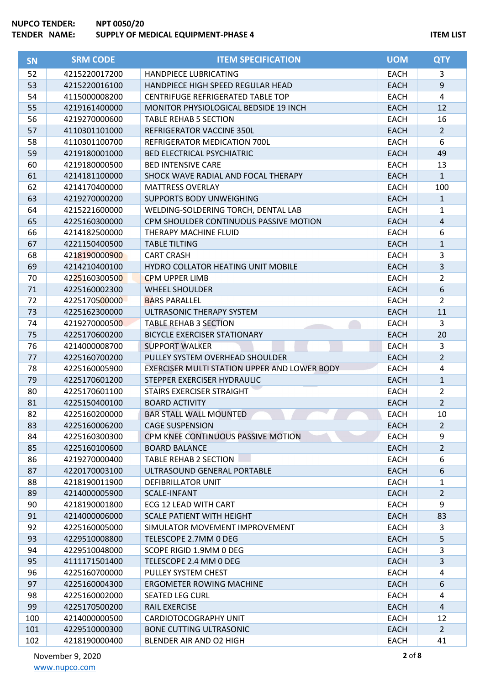| <b>SN</b> | <b>SRM CODE</b> | <b>ITEM SPECIFICATION</b>                    | <b>UOM</b>  | <b>QTY</b>       |
|-----------|-----------------|----------------------------------------------|-------------|------------------|
| 52        | 4215220017200   | HANDPIECE LUBRICATING                        | <b>EACH</b> | 3                |
| 53        | 4215220016100   | HANDPIECE HIGH SPEED REGULAR HEAD            | <b>EACH</b> | $\boldsymbol{9}$ |
| 54        | 4115000008200   | <b>CENTRIFUGE REFRIGERATED TABLE TOP</b>     | <b>EACH</b> | 4                |
| 55        | 4219161400000   | MONITOR PHYSIOLOGICAL BEDSIDE 19 INCH        | <b>EACH</b> | 12               |
| 56        | 4219270000600   | <b>TABLE REHAB 5 SECTION</b>                 | <b>EACH</b> | 16               |
| 57        | 4110301101000   | REFRIGERATOR VACCINE 350L                    | <b>EACH</b> | $\overline{2}$   |
| 58        | 4110301100700   | REFRIGERATOR MEDICATION 700L                 | <b>EACH</b> | 6                |
| 59        | 4219180001000   | <b>BED ELECTRICAL PSYCHIATRIC</b>            | <b>EACH</b> | 49               |
| 60        | 4219180000500   | <b>BED INTENSIVE CARE</b>                    | <b>EACH</b> | 13               |
| 61        | 4214181100000   | SHOCK WAVE RADIAL AND FOCAL THERAPY          | <b>EACH</b> | $\mathbf{1}$     |
| 62        | 4214170400000   | <b>MATTRESS OVERLAY</b>                      | <b>EACH</b> | 100              |
| 63        | 4219270000200   | <b>SUPPORTS BODY UNWEIGHING</b>              | <b>EACH</b> | $\mathbf{1}$     |
| 64        | 4215221600000   | WELDING-SOLDERING TORCH, DENTAL LAB          | EACH        | 1                |
| 65        | 4225160300000   | CPM SHOULDER CONTINUOUS PASSIVE MOTION       | <b>EACH</b> | 4                |
| 66        | 4214182500000   | THERAPY MACHINE FLUID                        | <b>EACH</b> | 6                |
| 67        | 4221150400500   | <b>TABLE TILTING</b>                         | <b>EACH</b> | $\mathbf{1}$     |
| 68        | 4218190000900   | <b>CART CRASH</b>                            | <b>EACH</b> | 3                |
| 69        | 4214210400100   | HYDRO COLLATOR HEATING UNIT MOBILE           | <b>EACH</b> | 3                |
| 70        | 4225160300500   | <b>CPM UPPER LIMB</b>                        | <b>EACH</b> | $\overline{2}$   |
| 71        | 4225160002300   | <b>WHEEL SHOULDER</b>                        | <b>EACH</b> | 6                |
| 72        | 4225170500000   | <b>BARS PARALLEL</b>                         | <b>EACH</b> | $\overline{2}$   |
| 73        | 4225162300000   | ULTRASONIC THERAPY SYSTEM                    | <b>EACH</b> | 11               |
| 74        | 4219270000500   | <b>TABLE REHAB 3 SECTION</b>                 | <b>EACH</b> | 3                |
| 75        | 4225170600200   | <b>BICYCLE EXERCISER STATIONARY</b>          | <b>EACH</b> | 20               |
| 76        | 4214000008700   | <b>SUPPORT WALKER</b>                        | <b>EACH</b> | 3                |
| 77        | 4225160700200   | PULLEY SYSTEM OVERHEAD SHOULDER              | <b>EACH</b> | $\overline{2}$   |
| 78        | 4225160005900   | EXERCISER MULTI STATION UPPER AND LOWER BODY | <b>EACH</b> | 4                |
| 79        | 4225170601200   | STEPPER EXERCISER HYDRAULIC                  | <b>EACH</b> | $\mathbf{1}$     |
| 80        | 4225170601100   | STAIRS EXERCISER STRAIGHT                    | <b>EACH</b> | $\overline{2}$   |
| 81        | 4225150400100   | <b>BOARD ACTIVITY</b>                        | <b>EACH</b> | $\overline{2}$   |
| 82        | 4225160200000   | <b>BAR STALL WALL MOUNTED</b>                | <b>EACH</b> | 10               |
| 83        | 4225160006200   | <b>CAGE SUSPENSION</b>                       | <b>EACH</b> | $\overline{2}$   |
| 84        | 4225160300300   | CPM KNEE CONTINUOUS PASSIVE MOTION           | EACH        | 9                |
| 85        | 4225160100600   | <b>BOARD BALANCE</b>                         | <b>EACH</b> | $\overline{2}$   |
| 86        | 4219270000400   | TABLE REHAB 2 SECTION                        | EACH        | 6                |
| 87        | 4220170003100   | ULTRASOUND GENERAL PORTABLE                  | <b>EACH</b> | 6                |
| 88        | 4218190011900   | <b>DEFIBRILLATOR UNIT</b>                    | <b>EACH</b> | 1                |
| 89        | 4214000005900   | SCALE-INFANT                                 | <b>EACH</b> | $\overline{2}$   |
| 90        | 4218190001800   | ECG 12 LEAD WITH CART                        | <b>EACH</b> | 9                |
| 91        | 4214000006000   | <b>SCALE PATIENT WITH HEIGHT</b>             | <b>EACH</b> | 83               |
| 92        | 4225160005000   | SIMULATOR MOVEMENT IMPROVEMENT               | <b>EACH</b> | 3                |
| 93        | 4229510008800   | TELESCOPE 2.7MM 0 DEG                        | <b>EACH</b> | 5                |
| 94        | 4229510048000   | SCOPE RIGID 1.9MM 0 DEG                      | <b>EACH</b> | 3                |
| 95        | 4111171501400   | TELESCOPE 2.4 MM 0 DEG                       | <b>EACH</b> | 3                |
| 96        | 4225160700000   | PULLEY SYSTEM CHEST                          | <b>EACH</b> | 4                |
| 97        | 4225160004300   | <b>ERGOMETER ROWING MACHINE</b>              | <b>EACH</b> | 6                |
| 98        | 4225160002000   | <b>SEATED LEG CURL</b>                       | <b>EACH</b> | 4                |
| 99        | 4225170500200   | <b>RAIL EXERCISE</b>                         | <b>EACH</b> | 4                |
| 100       | 4214000000500   | CARDIOTOCOGRAPHY UNIT                        | <b>EACH</b> | 12               |
| 101       | 4229510000300   | <b>BONE CUTTING ULTRASONIC</b>               | <b>EACH</b> | 2 <sup>1</sup>   |
| 102       | 4218190000400   | BLENDER AIR AND O2 HIGH                      | <b>EACH</b> | 41               |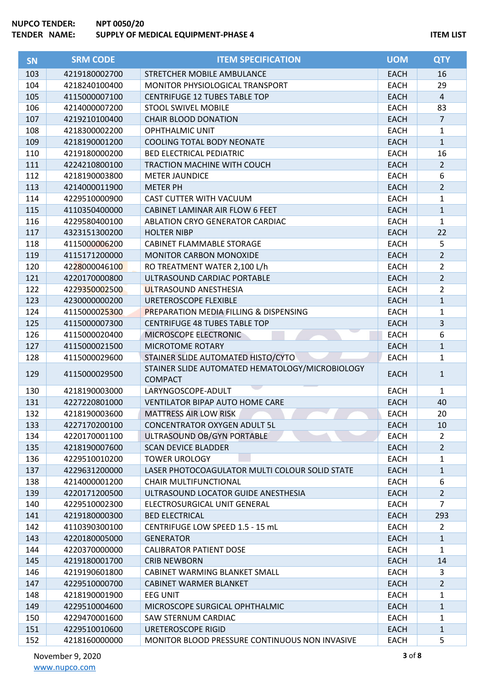| SN  | <b>SRM CODE</b> | <b>ITEM SPECIFICATION</b>                         | <b>UOM</b>  | <b>QTY</b>     |
|-----|-----------------|---------------------------------------------------|-------------|----------------|
| 103 | 4219180002700   | STRETCHER MOBILE AMBULANCE                        | <b>EACH</b> | 16             |
| 104 | 4218240100400   | MONITOR PHYSIOLOGICAL TRANSPORT                   | <b>EACH</b> | 29             |
| 105 | 4115000007100   | <b>CENTRIFUGE 12 TUBES TABLE TOP</b>              | <b>EACH</b> | $\overline{4}$ |
| 106 | 4214000007200   | <b>STOOL SWIVEL MOBILE</b>                        | <b>EACH</b> | 83             |
| 107 | 4219210100400   | <b>CHAIR BLOOD DONATION</b>                       | <b>EACH</b> | $\overline{7}$ |
| 108 | 4218300002200   | <b>OPHTHALMIC UNIT</b>                            | <b>EACH</b> | 1              |
| 109 | 4218190001200   | <b>COOLING TOTAL BODY NEONATE</b>                 | <b>EACH</b> | $\mathbf{1}$   |
| 110 | 4219180000200   | <b>BED ELECTRICAL PEDIATRIC</b>                   | <b>EACH</b> | 16             |
| 111 | 4224210800100   | TRACTION MACHINE WITH COUCH                       | <b>EACH</b> | $\overline{2}$ |
| 112 | 4218190003800   | <b>METER JAUNDICE</b>                             | <b>EACH</b> | 6              |
| 113 | 4214000011900   | <b>METER PH</b>                                   | <b>EACH</b> | $\overline{2}$ |
| 114 | 4229510000900   | CAST CUTTER WITH VACUUM                           | <b>EACH</b> | 1              |
| 115 | 4110350400000   | CABINET LAMINAR AIR FLOW 6 FEET                   | <b>EACH</b> | $\mathbf{1}$   |
| 116 | 4229580400100   | ABLATION CRYO GENERATOR CARDIAC                   | <b>EACH</b> | $\mathbf{1}$   |
| 117 | 4323151300200   | <b>HOLTER NIBP</b>                                | <b>EACH</b> | 22             |
| 118 | 4115000006200   | <b>CABINET FLAMMABLE STORAGE</b>                  | <b>EACH</b> | 5              |
| 119 | 4115171200000   | <b>MONITOR CARBON MONOXIDE</b>                    | <b>EACH</b> | $\overline{2}$ |
| 120 | 4228000046100   | RO TREATMENT WATER 2,100 L/h                      | <b>EACH</b> | $\overline{2}$ |
| 121 | 4220170000800   | ULTRASOUND CARDIAC PORTABLE                       | <b>EACH</b> | $\overline{2}$ |
| 122 | 4229350002500   | ULTRASOUND ANESTHESIA                             | <b>EACH</b> | $\overline{2}$ |
| 123 | 4230000000200   | URETEROSCOPE FLEXIBLE                             | <b>EACH</b> | $\mathbf{1}$   |
| 124 | 4115000025300   | <b>PREPARATION MEDIA FILLING &amp; DISPENSING</b> | <b>EACH</b> | 1              |
| 125 | 4115000007300   | <b>CENTRIFUGE 48 TUBES TABLE TOP</b>              | <b>EACH</b> | 3              |
| 126 | 4115000020400   | MICROSCOPE ELECTRONIC                             | <b>EACH</b> | 6              |
| 127 | 4115000021500   | MICROTOME ROTARY                                  | <b>EACH</b> | $\mathbf{1}$   |
| 128 | 4115000029600   | STAINER SLIDE AUTOMATED HISTO/CYTO                | <b>EACH</b> | 1              |
|     |                 | STAINER SLIDE AUTOMATED HEMATOLOGY/MICROBIOLOGY   |             |                |
| 129 | 4115000029500   | <b>COMPACT</b>                                    | <b>EACH</b> | $\mathbf{1}$   |
| 130 | 4218190003000   | LARYNGOSCOPE-ADULT                                | <b>EACH</b> | 1              |
| 131 | 4227220801000   | <b>VENTILATOR BIPAP AUTO HOME CARE</b>            | <b>EACH</b> | 40             |
| 132 | 4218190003600   | <b>MATTRESS AIR LOW RISK</b>                      | <b>EACH</b> | 20             |
| 133 | 4227170200100   | <b>CONCENTRATOR OXYGEN ADULT 5L</b>               | <b>EACH</b> | 10             |
| 134 | 4220170001100   | ULTRASOUND OB/GYN PORTABLE                        | <b>EACH</b> | $\overline{2}$ |
| 135 | 4218190007600   | <b>SCAN DEVICE BLADDER</b>                        | <b>EACH</b> | $\overline{2}$ |
| 136 | 4229510010200   | <b>TOWER UROLOGY</b>                              | <b>EACH</b> | 1              |
| 137 | 4229631200000   | LASER PHOTOCOAGULATOR MULTI COLOUR SOLID STATE    | <b>EACH</b> | 1              |
| 138 | 4214000001200   | <b>CHAIR MULTIFUNCTIONAL</b>                      | <b>EACH</b> | 6              |
| 139 | 4220171200500   | ULTRASOUND LOCATOR GUIDE ANESTHESIA               | <b>EACH</b> | 2              |
| 140 | 4229510002300   | ELECTROSURGICAL UNIT GENERAL                      | <b>EACH</b> | 7              |
| 141 | 4219180000300   | <b>BED ELECTRICAL</b>                             | <b>EACH</b> | 293            |
| 142 | 4110390300100   | CENTRIFUGE LOW SPEED 1.5 - 15 mL                  | <b>EACH</b> | 2              |
| 143 | 4220180005000   | <b>GENERATOR</b>                                  | <b>EACH</b> | $\mathbf{1}$   |
| 144 | 4220370000000   | <b>CALIBRATOR PATIENT DOSE</b>                    | <b>EACH</b> | 1              |
| 145 | 4219180001700   | <b>CRIB NEWBORN</b>                               | <b>EACH</b> | 14             |
| 146 | 4219190601800   | CABINET WARMING BLANKET SMALL                     | <b>EACH</b> | 3              |
| 147 | 4229510000700   | CABINET WARMER BLANKET                            | <b>EACH</b> | $\overline{2}$ |
| 148 | 4218190001900   | <b>EEG UNIT</b>                                   | EACH        | 1              |
| 149 | 4229510004600   | MICROSCOPE SURGICAL OPHTHALMIC                    | <b>EACH</b> | $\mathbf{1}$   |
| 150 | 4229470001600   | SAW STERNUM CARDIAC                               | <b>EACH</b> | 1              |
| 151 | 4229510010600   | URETEROSCOPE RIGID                                | <b>EACH</b> | 1              |
| 152 | 4218160000000   | MONITOR BLOOD PRESSURE CONTINUOUS NON INVASIVE    | <b>EACH</b> | 5              |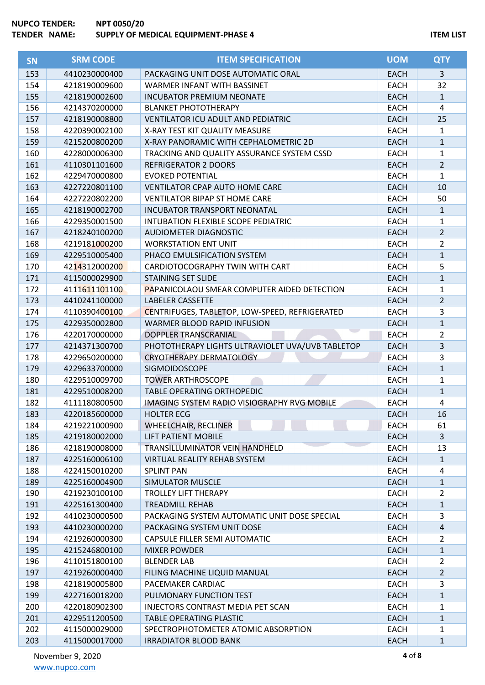| <b>SN</b> | <b>SRM CODE</b> | <b>ITEM SPECIFICATION</b>                          | <b>UOM</b>  | <b>QTY</b>     |
|-----------|-----------------|----------------------------------------------------|-------------|----------------|
| 153       | 4410230000400   | PACKAGING UNIT DOSE AUTOMATIC ORAL                 | <b>EACH</b> | 3              |
| 154       | 4218190009600   | WARMER INFANT WITH BASSINET                        | <b>EACH</b> | 32             |
| 155       | 4218190002600   | <b>INCUBATOR PREMIUM NEONATE</b>                   | <b>EACH</b> | $\mathbf{1}$   |
| 156       | 4214370200000   | <b>BLANKET PHOTOTHERAPY</b>                        | <b>EACH</b> | 4              |
| 157       | 4218190008800   | <b>VENTILATOR ICU ADULT AND PEDIATRIC</b>          | <b>EACH</b> | 25             |
| 158       | 4220390002100   | X-RAY TEST KIT QUALITY MEASURE                     | <b>EACH</b> | $\mathbf{1}$   |
| 159       | 4215200800200   | X-RAY PANORAMIC WITH CEPHALOMETRIC 2D              | <b>EACH</b> | $\mathbf{1}$   |
| 160       | 4228000006300   | TRACKING AND QUALITY ASSURANCE SYSTEM CSSD         | <b>EACH</b> | $\mathbf{1}$   |
| 161       | 4110301101600   | <b>REFRIGERATOR 2 DOORS</b>                        | <b>EACH</b> | $\overline{2}$ |
| 162       | 4229470000800   | <b>EVOKED POTENTIAL</b>                            | <b>EACH</b> | $\mathbf{1}$   |
| 163       | 4227220801100   | <b>VENTILATOR CPAP AUTO HOME CARE</b>              | <b>EACH</b> | 10             |
| 164       | 4227220802200   | <b>VENTILATOR BIPAP ST HOME CARE</b>               | <b>EACH</b> | 50             |
| 165       | 4218190002700   | <b>INCUBATOR TRANSPORT NEONATAL</b>                | <b>EACH</b> | $\mathbf{1}$   |
| 166       | 4229350001500   | INTUBATION FLEXIBLE SCOPE PEDIATRIC                | <b>EACH</b> | $\mathbf{1}$   |
| 167       | 4218240100200   | AUDIOMETER DIAGNOSTIC                              | <b>EACH</b> | $\overline{2}$ |
| 168       | 4219181000200   | <b>WORKSTATION ENT UNIT</b>                        | <b>EACH</b> | $\overline{2}$ |
| 169       | 4229510005400   | PHACO EMULSIFICATION SYSTEM                        | <b>EACH</b> | $\mathbf{1}$   |
| 170       | 4214312000200   | CARDIOTOCOGRAPHY TWIN WITH CART                    | <b>EACH</b> | 5              |
| 171       | 4115000029900   | <b>STAINING SET SLIDE</b>                          | <b>EACH</b> | $\mathbf{1}$   |
| 172       | 4111611101100   | <b>PAPANICOLAOU SMEAR COMPUTER AIDED DETECTION</b> | <b>EACH</b> | $\mathbf{1}$   |
| 173       | 4410241100000   | <b>LABELER CASSETTE</b>                            | <b>EACH</b> | $\overline{2}$ |
| 174       | 4110390400100   | CENTRIFUGES, TABLETOP, LOW-SPEED, REFRIGERATED     | <b>EACH</b> | 3              |
| 175       | 4229350002800   | WARMER BLOOD RAPID INFUSION                        | <b>EACH</b> | $\mathbf{1}$   |
| 176       | 4220170000000   | DOPPLER TRANSCRANIAL                               | <b>EACH</b> | $\overline{2}$ |
| 177       | 4214371300700   | PHOTOTHERAPY LIGHTS ULTRAVIOLET UVA/UVB TABLETOP   | <b>EACH</b> | $\mathbf{3}$   |
| 178       | 4229650200000   | <b>CRYOTHERAPY DERMATOLOGY</b>                     | <b>EACH</b> | 3              |
| 179       | 4229633700000   | SIGMOIDOSCOPE                                      | <b>EACH</b> | $\mathbf{1}$   |
| 180       | 4229510009700   | <b>TOWER ARTHROSCOPE</b>                           | <b>EACH</b> | $\mathbf{1}$   |
| 181       | 4229510008200   | <b>TABLE OPERATING ORTHOPEDIC</b>                  | <b>EACH</b> | $\mathbf{1}$   |
| 182       | 4111180800500   | <b>IMAGING SYSTEM RADIO VISIOGRAPHY RVG MOBILE</b> | <b>EACH</b> | 4              |
| 183       | 4220185600000   | <b>HOLTER ECG</b>                                  | <b>EACH</b> | 16             |
| 184       | 4219221000900   | <b>WHEELCHAIR, RECLINER</b>                        | <b>EACH</b> | 61             |
| 185       | 4219180002000   | <b>LIFT PATIENT MOBILE</b>                         | <b>EACH</b> | $\mathbf{3}$   |
| 186       | 4218190008000   | TRANSILLUMINATOR VEIN HANDHELD                     | EACH        | 13             |
| 187       | 4225160006100   | <b>VIRTUAL REALITY REHAB SYSTEM</b>                | <b>EACH</b> | $\mathbf{1}$   |
| 188       | 4224150010200   | <b>SPLINT PAN</b>                                  | <b>EACH</b> | 4              |
| 189       | 4225160004900   | <b>SIMULATOR MUSCLE</b>                            | <b>EACH</b> | $\mathbf{1}$   |
| 190       | 4219230100100   | <b>TROLLEY LIFT THERAPY</b>                        | <b>EACH</b> | $\overline{2}$ |
| 191       | 4225161300400   | <b>TREADMILL REHAB</b>                             | <b>EACH</b> | $\mathbf{1}$   |
| 192       | 4410230000500   | PACKAGING SYSTEM AUTOMATIC UNIT DOSE SPECIAL       | EACH        | 3              |
| 193       | 4410230000200   | PACKAGING SYSTEM UNIT DOSE                         | <b>EACH</b> | $\sqrt{4}$     |
| 194       | 4219260000300   | CAPSULE FILLER SEMI AUTOMATIC                      | <b>EACH</b> | $\overline{2}$ |
| 195       | 4215246800100   | <b>MIXER POWDER</b>                                | <b>EACH</b> | $\mathbf{1}$   |
| 196       | 4110151800100   | <b>BLENDER LAB</b>                                 | <b>EACH</b> | $\overline{2}$ |
| 197       | 4219260000400   | FILING MACHINE LIQUID MANUAL                       | <b>EACH</b> | $\overline{2}$ |
| 198       | 4218190005800   | PACEMAKER CARDIAC                                  | <b>EACH</b> | 3              |
| 199       | 4227160018200   | PULMONARY FUNCTION TEST                            | <b>EACH</b> | $\mathbf{1}$   |
| 200       | 4220180902300   | INJECTORS CONTRAST MEDIA PET SCAN                  | EACH        | $\mathbf{1}$   |
| 201       | 4229511200500   | TABLE OPERATING PLASTIC                            | <b>EACH</b> | $\mathbf{1}$   |
| 202       | 4115000029000   | SPECTROPHOTOMETER ATOMIC ABSORPTION                | <b>EACH</b> | 1              |
| 203       | 4115000017000   | <b>IRRADIATOR BLOOD BANK</b>                       | <b>EACH</b> | $\mathbf{1}$   |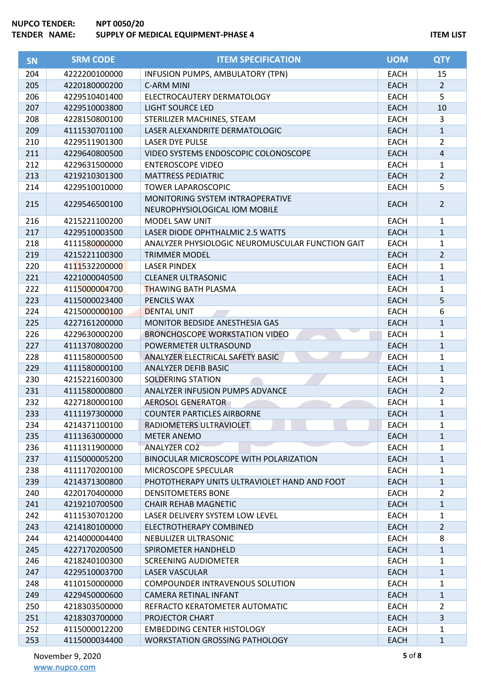| <b>SN</b> | <b>SRM CODE</b> | <b>ITEM SPECIFICATION</b>                        | <b>UOM</b>  | <b>QTY</b>     |
|-----------|-----------------|--------------------------------------------------|-------------|----------------|
| 204       | 4222200100000   | INFUSION PUMPS, AMBULATORY (TPN)                 | <b>EACH</b> | 15             |
| 205       | 4220180000200   | <b>C-ARM MINI</b>                                | <b>EACH</b> | $\overline{2}$ |
| 206       | 4229510401400   | ELECTROCAUTERY DERMATOLOGY                       | <b>EACH</b> | 5              |
| 207       | 4229510003800   | <b>LIGHT SOURCE LED</b>                          | <b>EACH</b> | 10             |
| 208       | 4228150800100   | STERILIZER MACHINES, STEAM                       | <b>EACH</b> | 3              |
| 209       | 4111530701100   | LASER ALEXANDRITE DERMATOLOGIC                   | <b>EACH</b> | $\mathbf{1}$   |
| 210       | 4229511901300   | <b>LASER DYE PULSE</b>                           | <b>EACH</b> | $\overline{2}$ |
| 211       | 4229640800500   | VIDEO SYSTEMS ENDOSCOPIC COLONOSCOPE             | <b>EACH</b> | 4              |
| 212       | 4229631500000   | <b>ENTEROSCOPE VIDEO</b>                         | <b>EACH</b> | 1              |
| 213       | 4219210301300   | <b>MATTRESS PEDIATRIC</b>                        | <b>EACH</b> | $\overline{2}$ |
| 214       | 4229510010000   | <b>TOWER LAPAROSCOPIC</b>                        | <b>EACH</b> | 5              |
|           |                 | MONITORING SYSTEM INTRAOPERATIVE                 |             |                |
| 215       | 4229546500100   | NEUROPHYSIOLOGICAL IOM MOBILE                    | <b>EACH</b> | $\overline{2}$ |
| 216       | 4215221100200   | MODEL SAW UNIT                                   | <b>EACH</b> | 1              |
| 217       | 4229510003500   | LASER DIODE OPHTHALMIC 2.5 WATTS                 | <b>EACH</b> | $\mathbf{1}$   |
| 218       | 4111580000000   | ANALYZER PHYSIOLOGIC NEUROMUSCULAR FUNCTION GAIT | <b>EACH</b> | 1              |
| 219       | 4215221100300   | <b>TRIMMER MODEL</b>                             | <b>EACH</b> | $\overline{2}$ |
| 220       | 4111532200000   | <b>LASER PINDEX</b>                              | <b>EACH</b> | 1              |
| 221       | 4221000040500   | <b>CLEANER ULTRASONIC</b>                        | <b>EACH</b> | $\mathbf{1}$   |
| 222       | 4115000004700   | <b>THAWING BATH PLASMA</b>                       | <b>EACH</b> | 1              |
| 223       | 4115000023400   | PENCILS WAX                                      | <b>EACH</b> | 5              |
| 224       | 4215000000100   | <b>DENTAL UNIT</b>                               | <b>EACH</b> | 6              |
| 225       | 4227161200000   | MONITOR BEDSIDE ANESTHESIA GAS                   | <b>EACH</b> | $\mathbf{1}$   |
| 226       | 4229630000200   | <b>BRONCHOSCOPE WORKSTATION VIDEO</b>            | <b>EACH</b> | 1              |
| 227       | 4111370800200   | POWERMETER ULTRASOUND                            | <b>EACH</b> | $\mathbf{1}$   |
| 228       | 4111580000500   | ANALYZER ELECTRICAL SAFETY BASIC                 | <b>EACH</b> | 1              |
| 229       | 4111580000100   | <b>ANALYZER DEFIB BASIC</b>                      | <b>EACH</b> | $\mathbf{1}$   |
| 230       | 4215221600300   | <b>SOLDERING STATION</b>                         | <b>EACH</b> | 1              |
| 231       | 4111580000800   | ANALYZER INFUSION PUMPS ADVANCE                  | <b>EACH</b> | $\overline{2}$ |
| 232       | 4227180000100   | <b>AEROSOL GENERATOR</b>                         | <b>EACH</b> | 1              |
| 233       | 4111197300000   | <b>COUNTER PARTICLES AIRBORNE</b>                | <b>EACH</b> | $\mathbf{1}$   |
| 234       | 4214371100100   | RADIOMETERS ULTRAVIOLET                          | <b>EACH</b> | 1              |
| 235       | 4111363000000   | <b>METER ANEMO</b>                               | <b>EACH</b> | $\mathbf{1}$   |
| 236       | 4111311900000   | <b>ANALYZER CO2</b>                              | <b>EACH</b> | 1              |
| 237       | 4115000005200   | BINOCULAR MICROSCOPE WITH POLARIZATION           | <b>EACH</b> | 1              |
| 238       | 4111170200100   | MICROSCOPE SPECULAR                              | <b>EACH</b> | 1              |
| 239       | 4214371300800   | PHOTOTHERAPY UNITS ULTRAVIOLET HAND AND FOOT     | <b>EACH</b> | $\mathbf{1}$   |
| 240       | 4220170400000   | <b>DENSITOMETERS BONE</b>                        | <b>EACH</b> | $\overline{2}$ |
| 241       | 4219210700500   | <b>CHAIR REHAB MAGNETIC</b>                      | <b>EACH</b> | $\mathbf{1}$   |
| 242       | 4111530701200   | LASER DELIVERY SYSTEM LOW LEVEL                  | <b>EACH</b> | 1              |
| 243       | 4214180100000   | ELECTROTHERAPY COMBINED                          | <b>EACH</b> | $\overline{2}$ |
| 244       | 4214000004400   | NEBULIZER ULTRASONIC                             | EACH        | 8              |
| 245       | 4227170200500   | SPIROMETER HANDHELD                              | <b>EACH</b> | $\mathbf{1}$   |
| 246       | 4218240100300   | <b>SCREENING AUDIOMETER</b>                      | <b>EACH</b> | 1              |
| 247       | 4229510003700   | <b>LASER VASCULAR</b>                            | <b>EACH</b> | $\mathbf{1}$   |
| 248       | 4110150000000   | COMPOUNDER INTRAVENOUS SOLUTION                  | <b>EACH</b> | 1              |
| 249       | 4229450000600   | CAMERA RETINAL INFANT                            | <b>EACH</b> | 1              |
| 250       | 4218303500000   | REFRACTO KERATOMETER AUTOMATIC                   | EACH        | $\overline{2}$ |
| 251       | 4218303700000   | PROJECTOR CHART                                  | <b>EACH</b> | 3              |
| 252       | 4115000012200   | <b>EMBEDDING CENTER HISTOLOGY</b>                | EACH        | 1              |
| 253       | 4115000034400   | <b>WORKSTATION GROSSING PATHOLOGY</b>            | <b>EACH</b> | 1              |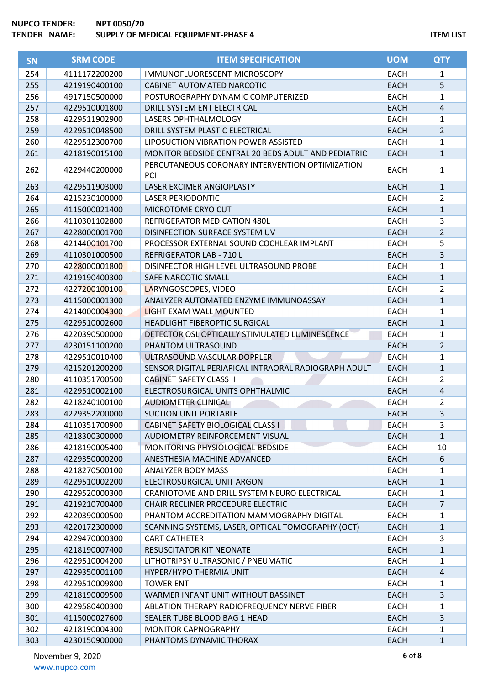| <b>SN</b> | <b>SRM CODE</b> | <b>ITEM SPECIFICATION</b>                              | <b>UOM</b>  | <b>QTY</b>     |
|-----------|-----------------|--------------------------------------------------------|-------------|----------------|
| 254       | 4111172200200   | IMMUNOFLUORESCENT MICROSCOPY                           | <b>EACH</b> | 1              |
| 255       | 4219190400100   | CABINET AUTOMATED NARCOTIC                             | <b>EACH</b> | 5              |
| 256       | 4917150500000   | POSTUROGRAPHY DYNAMIC COMPUTERIZED                     | <b>EACH</b> | 1              |
| 257       | 4229510001800   | DRILL SYSTEM ENT ELECTRICAL                            | <b>EACH</b> | 4              |
| 258       | 4229511902900   | LASERS OPHTHALMOLOGY                                   | <b>EACH</b> | 1              |
| 259       | 4229510048500   | DRILL SYSTEM PLASTIC ELECTRICAL                        | <b>EACH</b> | $\overline{2}$ |
| 260       | 4229512300700   | LIPOSUCTION VIBRATION POWER ASSISTED                   | <b>EACH</b> | $\mathbf{1}$   |
| 261       | 4218190015100   | MONITOR BEDSIDE CENTRAL 20 BEDS ADULT AND PEDIATRIC    | <b>EACH</b> | $\mathbf{1}$   |
| 262       | 4229440200000   | PERCUTANEOUS CORONARY INTERVENTION OPTIMIZATION<br>PCI | <b>EACH</b> | $\mathbf{1}$   |
| 263       | 4229511903000   | LASER EXCIMER ANGIOPLASTY                              | <b>EACH</b> | $\mathbf{1}$   |
| 264       | 4215230100000   | <b>LASER PERIODONTIC</b>                               | <b>EACH</b> | $\overline{2}$ |
| 265       | 4115000021400   | MICROTOME CRYO CUT                                     | <b>EACH</b> | $\mathbf{1}$   |
| 266       | 4110301102800   | REFRIGERATOR MEDICATION 480L                           | <b>EACH</b> | 3              |
| 267       | 4228000001700   | DISINFECTION SURFACE SYSTEM UV                         | <b>EACH</b> | $\overline{2}$ |
| 268       | 4214400101700   | PROCESSOR EXTERNAL SOUND COCHLEAR IMPLANT              | <b>EACH</b> | 5              |
| 269       | 4110301000500   | REFRIGERATOR LAB - 710 L                               | <b>EACH</b> | $\overline{3}$ |
| 270       | 4228000001800   | DISINFECTOR HIGH LEVEL ULTRASOUND PROBE                | <b>EACH</b> | $\mathbf{1}$   |
| 271       | 4219190400300   | SAFE NARCOTIC SMALL                                    | <b>EACH</b> | $\mathbf{1}$   |
| 272       | 4227200100100   | LARYNGOSCOPES, VIDEO                                   | <b>EACH</b> | $\overline{2}$ |
| 273       | 4115000001300   | ANALYZER AUTOMATED ENZYME IMMUNOASSAY                  | <b>EACH</b> | $\mathbf{1}$   |
| 274       | 4214000004300   | LIGHT EXAM WALL MOUNTED                                | <b>EACH</b> | $\mathbf{1}$   |
| 275       | 4229510002600   | <b>HEADLIGHT FIBEROPTIC SURGICAL</b>                   | <b>EACH</b> | $\mathbf{1}$   |
| 276       | 4220390500000   | DETECTOR OSL OPTICALLY STIMULATED LUMINESCENCE         | <b>EACH</b> | 1              |
| 277       | 4230151100200   | PHANTOM ULTRASOUND                                     | <b>EACH</b> | $\overline{2}$ |
| 278       | 4229510010400   | ULTRASOUND VASCULAR DOPPLER                            | <b>EACH</b> | 1              |
| 279       | 4215201200200   | SENSOR DIGITAL PERIAPICAL INTRAORAL RADIOGRAPH ADULT   | <b>EACH</b> | $\mathbf{1}$   |
| 280       | 4110351700500   | <b>CABINET SAFETY CLASS II</b>                         | <b>EACH</b> | $\overline{2}$ |
| 281       | 4229510002100   | ELECTROSURGICAL UNITS OPHTHALMIC                       | <b>EACH</b> | 4              |
| 282       | 4218240100100   | <b>AUDIOMETER CLINICAL</b>                             | <b>EACH</b> | $\overline{2}$ |
| 283       | 4229352200000   | <b>SUCTION UNIT PORTABLE</b>                           | <b>EACH</b> | 3              |
| 284       | 4110351700900   | <b>CABINET SAFETY BIOLOGICAL CLASS I</b>               | <b>EACH</b> | 3              |
| 285       | 4218300300000   | AUDIOMETRY REINFORCEMENT VISUAL                        | <b>EACH</b> | $\mathbf{1}$   |
| 286       | 4218190005400   | MONITORING PHYSIOLOGICAL BEDSIDE                       | <b>EACH</b> | 10             |
| 287       | 4229350000200   | ANESTHESIA MACHINE ADVANCED                            | <b>EACH</b> | 6              |
| 288       | 4218270500100   | ANALYZER BODY MASS                                     | <b>EACH</b> | 1              |
| 289       | 4229510002200   | ELECTROSURGICAL UNIT ARGON                             | <b>EACH</b> | $\mathbf{1}$   |
| 290       | 4229520000300   | CRANIOTOME AND DRILL SYSTEM NEURO ELECTRICAL           | <b>EACH</b> | 1              |
| 291       | 4219210700400   | CHAIR RECLINER PROCEDURE ELECTRIC                      | <b>EACH</b> | $\overline{7}$ |
| 292       | 4220390000500   | PHANTOM ACCREDITATION MAMMOGRAPHY DIGITAL              | <b>EACH</b> | 1              |
| 293       | 4220172300000   | SCANNING SYSTEMS, LASER, OPTICAL TOMOGRAPHY (OCT)      | <b>EACH</b> | 1              |
| 294       | 4229470000300   | <b>CART CATHETER</b>                                   | <b>EACH</b> | 3              |
| 295       | 4218190007400   | <b>RESUSCITATOR KIT NEONATE</b>                        | <b>EACH</b> | $\mathbf{1}$   |
| 296       | 4229510004200   | LITHOTRIPSY ULTRASONIC / PNEUMATIC                     | <b>EACH</b> | 1              |
| 297       | 4229350001100   | HYPER/HYPO THERMIA UNIT                                | <b>EACH</b> | 4              |
| 298       | 4229510009800   | <b>TOWER ENT</b>                                       | <b>EACH</b> | 1              |
| 299       | 4218190009500   | WARMER INFANT UNIT WITHOUT BASSINET                    | <b>EACH</b> | 3              |
| 300       | 4229580400300   | ABLATION THERAPY RADIOFREQUENCY NERVE FIBER            | EACH        | 1              |
| 301       | 4115000027600   | SEALER TUBE BLOOD BAG 1 HEAD                           | <b>EACH</b> | 3              |
| 302       | 4218190004300   | <b>MONITOR CAPNOGRAPHY</b>                             | EACH        | 1              |
| 303       | 4230150900000   | PHANTOMS DYNAMIC THORAX                                | <b>EACH</b> | $\mathbf{1}$   |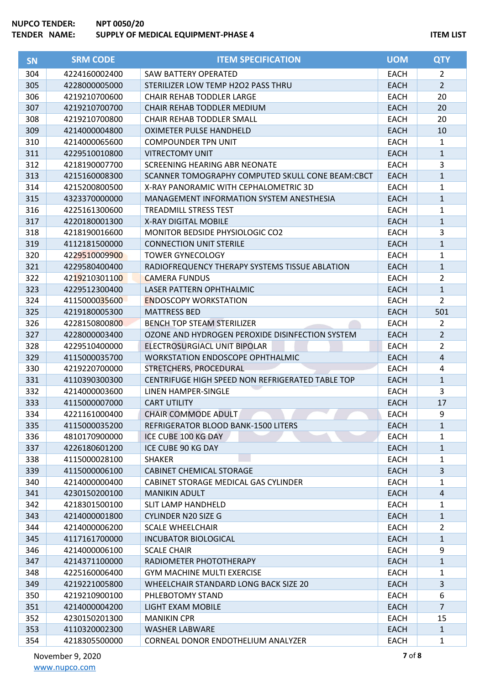| <b>SN</b> | <b>SRM CODE</b> | <b>ITEM SPECIFICATION</b>                        | <b>UOM</b>  | <b>QTY</b>     |
|-----------|-----------------|--------------------------------------------------|-------------|----------------|
| 304       | 4224160002400   | <b>SAW BATTERY OPERATED</b>                      | <b>EACH</b> | $\overline{2}$ |
| 305       | 4228000005000   | STERILIZER LOW TEMP H2O2 PASS THRU               | <b>EACH</b> | $\overline{2}$ |
| 306       | 4219210700600   | <b>CHAIR REHAB TODDLER LARGE</b>                 | <b>EACH</b> | 20             |
| 307       | 4219210700700   | <b>CHAIR REHAB TODDLER MEDIUM</b>                | <b>EACH</b> | 20             |
| 308       | 4219210700800   | CHAIR REHAB TODDLER SMALL                        | EACH        | 20             |
| 309       | 4214000004800   | OXIMETER PULSE HANDHELD                          | <b>EACH</b> | 10             |
| 310       | 4214000065600   | <b>COMPOUNDER TPN UNIT</b>                       | <b>EACH</b> | 1              |
| 311       | 4229510010800   | <b>VITRECTOMY UNIT</b>                           | <b>EACH</b> | 1              |
| 312       | 4218190007700   | SCREENING HEARING ABR NEONATE                    | <b>EACH</b> | 3              |
| 313       | 4215160008300   | SCANNER TOMOGRAPHY COMPUTED SKULL CONE BEAM:CBCT | <b>EACH</b> | 1              |
| 314       | 4215200800500   | X-RAY PANORAMIC WITH CEPHALOMETRIC 3D            | <b>EACH</b> | 1              |
| 315       | 4323370000000   | MANAGEMENT INFORMATION SYSTEM ANESTHESIA         | <b>EACH</b> | 1              |
| 316       | 4225161300600   | <b>TREADMILL STRESS TEST</b>                     | EACH        | 1              |
| 317       | 4220180001300   | X-RAY DIGITAL MOBILE                             | <b>EACH</b> | 1              |
| 318       | 4218190016600   | MONITOR BEDSIDE PHYSIOLOGIC CO2                  | <b>EACH</b> | 3              |
| 319       | 4112181500000   | <b>CONNECTION UNIT STERILE</b>                   | <b>EACH</b> | 1              |
| 320       | 4229510009900   | <b>TOWER GYNECOLOGY</b>                          | <b>EACH</b> | 1              |
| 321       | 4229580400400   | RADIOFREQUENCY THERAPY SYSTEMS TISSUE ABLATION   | <b>EACH</b> | 1              |
| 322       | 4219210301100   | <b>CAMERA FUNDUS</b>                             | EACH        | 2              |
| 323       | 4229512300400   | LASER PATTERN OPHTHALMIC                         | <b>EACH</b> | $\mathbf{1}$   |
| 324       | 4115000035600   | <b>ENDOSCOPY WORKSTATION</b>                     | <b>EACH</b> | $\overline{2}$ |
| 325       | 4219180005300   | <b>MATTRESS BED</b>                              | <b>EACH</b> | 501            |
| 326       | 4228150800800   | <b>BENCH TOP STEAM STERILIZER</b>                | <b>EACH</b> | 2              |
| 327       | 4228000003400   | OZONE AND HYDROGEN PEROXIDE DISINFECTION SYSTEM  | <b>EACH</b> | $\overline{2}$ |
| 328       | 4229510400000   | ELECTROSURGIACL UNIT BIPOLAR                     | <b>EACH</b> | 2              |
| 329       | 4115000035700   | <b>WORKSTATION ENDOSCOPE OPHTHALMIC</b>          | <b>EACH</b> | 4              |
| 330       | 4219220700000   | STRETCHERS, PROCEDURAL                           | <b>EACH</b> | 4              |
| 331       | 4110390300300   | CENTRIFUGE HIGH SPEED NON REFRIGERATED TABLE TOP | <b>EACH</b> | $\mathbf{1}$   |
| 332       | 4214000003600   | LINEN HAMPER-SINGLE                              | <b>EACH</b> | 3              |
| 333       | 4115000007000   | <b>CART UTILITY</b>                              | <b>EACH</b> | 17             |
| 334       | 4221161000400   | <b>CHAIR COMMODE ADULT</b>                       | <b>EACH</b> | 9              |
| 335       | 4115000035200   | REFRIGERATOR BLOOD BANK-1500 LITERS              | <b>EACH</b> | 1              |
| 336       | 4810170900000   | ICE CUBE 100 KG DAY                              | EACH        | 1              |
| 337       | 4226180601200   | ICE CUBE 90 KG DAY                               | <b>EACH</b> | 1              |
| 338       | 4115000028100   | <b>SHAKER</b>                                    | <b>EACH</b> | 1              |
| 339       | 4115000006100   | <b>CABINET CHEMICAL STORAGE</b>                  | <b>EACH</b> | 3              |
| 340       | 4214000000400   | CABINET STORAGE MEDICAL GAS CYLINDER             | <b>EACH</b> | 1              |
| 341       | 4230150200100   | <b>MANIKIN ADULT</b>                             | <b>EACH</b> | 4              |
| 342       | 4218301500100   | SLIT LAMP HANDHELD                               | <b>EACH</b> | 1              |
| 343       | 4214000001800   | <b>CYLINDER N20 SIZE G</b>                       | <b>EACH</b> | $\mathbf{1}$   |
| 344       | 4214000006200   | <b>SCALE WHEELCHAIR</b>                          | <b>EACH</b> | 2              |
| 345       | 4117161700000   | <b>INCUBATOR BIOLOGICAL</b>                      | <b>EACH</b> | 1              |
| 346       | 4214000006100   | <b>SCALE CHAIR</b>                               | <b>EACH</b> | 9              |
| 347       | 4214371100000   | RADIOMETER PHOTOTHERAPY                          | <b>EACH</b> | 1              |
| 348       | 4225160006400   | <b>GYM MACHINE MULTI EXERCISE</b>                | <b>EACH</b> | 1              |
| 349       | 4219221005800   | WHEELCHAIR STANDARD LONG BACK SIZE 20            | <b>EACH</b> | 3              |
| 350       | 4219210900100   | PHLEBOTOMY STAND                                 | <b>EACH</b> | 6              |
| 351       | 4214000004200   | LIGHT EXAM MOBILE                                | <b>EACH</b> | $\overline{7}$ |
| 352       | 4230150201300   | <b>MANIKIN CPR</b>                               | <b>EACH</b> | 15             |
| 353       | 4110320002300   | <b>WASHER LABWARE</b>                            | <b>EACH</b> | $\mathbf{1}$   |
| 354       | 4218305500000   | CORNEAL DONOR ENDOTHELIUM ANALYZER               | <b>EACH</b> | 1              |